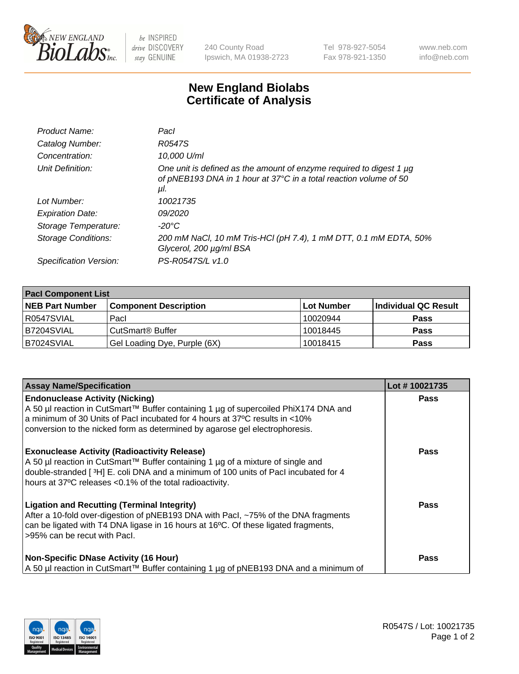

 $be$  INSPIRED drive DISCOVERY stay GENUINE

240 County Road Ipswich, MA 01938-2723 Tel 978-927-5054 Fax 978-921-1350 www.neb.com info@neb.com

## **New England Biolabs Certificate of Analysis**

| Product Name:              | Pacl                                                                                                                                            |
|----------------------------|-------------------------------------------------------------------------------------------------------------------------------------------------|
| Catalog Number:            | R0547S                                                                                                                                          |
| Concentration:             | 10,000 U/ml                                                                                                                                     |
| Unit Definition:           | One unit is defined as the amount of enzyme required to digest 1 µg<br>of pNEB193 DNA in 1 hour at 37°C in a total reaction volume of 50<br>μl. |
| Lot Number:                | 10021735                                                                                                                                        |
| <b>Expiration Date:</b>    | <i>09/2020</i>                                                                                                                                  |
| Storage Temperature:       | $-20^{\circ}$ C                                                                                                                                 |
| <b>Storage Conditions:</b> | 200 mM NaCl, 10 mM Tris-HCl (pH 7.4), 1 mM DTT, 0.1 mM EDTA, 50%<br>Glycerol, 200 µg/ml BSA                                                     |
| Specification Version:     | PS-R0547S/L v1.0                                                                                                                                |

| <b>Pacl Component List</b> |                              |            |                      |  |  |
|----------------------------|------------------------------|------------|----------------------|--|--|
| <b>NEB Part Number</b>     | <b>Component Description</b> | Lot Number | Individual QC Result |  |  |
| R0547SVIAL                 | Pacl                         | 10020944   | <b>Pass</b>          |  |  |
| <b>B7204SVIAL</b>          | l CutSmart® Buffer           | 10018445   | <b>Pass</b>          |  |  |
| B7024SVIAL                 | Gel Loading Dye, Purple (6X) | 10018415   | <b>Pass</b>          |  |  |

| <b>Assay Name/Specification</b>                                                                                                                                                                                                                                                               | Lot #10021735 |
|-----------------------------------------------------------------------------------------------------------------------------------------------------------------------------------------------------------------------------------------------------------------------------------------------|---------------|
| <b>Endonuclease Activity (Nicking)</b><br>A 50 µl reaction in CutSmart™ Buffer containing 1 µg of supercoiled PhiX174 DNA and<br>a minimum of 30 Units of Pacl incubated for 4 hours at 37°C results in <10%<br>conversion to the nicked form as determined by agarose gel electrophoresis.   | <b>Pass</b>   |
| <b>Exonuclease Activity (Radioactivity Release)</b><br>A 50 µl reaction in CutSmart™ Buffer containing 1 µg of a mixture of single and<br>double-stranded [ $3H$ ] E. coli DNA and a minimum of 100 units of Pacl incubated for 4<br>hours at 37°C releases <0.1% of the total radioactivity. | <b>Pass</b>   |
| <b>Ligation and Recutting (Terminal Integrity)</b><br>After a 10-fold over-digestion of pNEB193 DNA with Pacl, ~75% of the DNA fragments<br>can be ligated with T4 DNA ligase in 16 hours at 16°C. Of these ligated fragments,<br>>95% can be recut with Pacl.                                | Pass          |
| <b>Non-Specific DNase Activity (16 Hour)</b><br>  A 50 µl reaction in CutSmart™ Buffer containing 1 µg of pNEB193 DNA and a minimum of                                                                                                                                                        | <b>Pass</b>   |